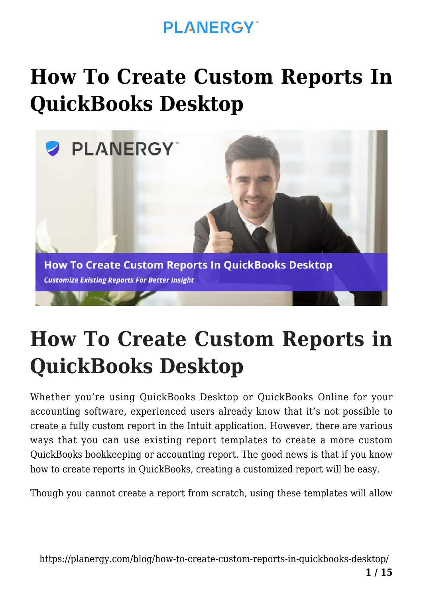#### **PI ANFRGY**

# **[How To Create Custom Reports In](https://planergy.com/blog/how-to-create-custom-reports-in-quickbooks-desktop/) [QuickBooks Desktop](https://planergy.com/blog/how-to-create-custom-reports-in-quickbooks-desktop/)**



# **How To Create Custom Reports in QuickBooks Desktop**

Whether you're using QuickBooks Desktop or QuickBooks Online for your accounting software, experienced users already know that it's not possible to create a fully custom report in the Intuit application. However, there are various ways that you can use existing report templates to create a more custom QuickBooks bookkeeping or accounting report. The good news is that if you know how to create reports in QuickBooks, creating a customized report will be easy.

Though you cannot create a report from scratch, using these templates will allow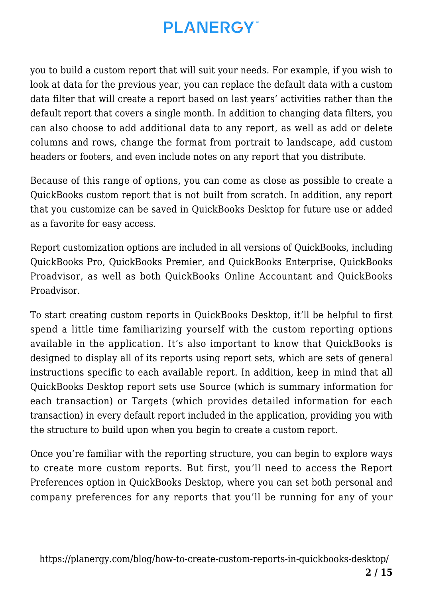you to build a custom report that will suit your needs. For example, if you wish to look at data for the previous year, you can replace the default data with a custom data filter that will create a report based on last years' activities rather than the default report that covers a single month. In addition to changing data filters, you can also choose to add additional data to any report, as well as add or delete columns and rows, change the format from portrait to landscape, add custom headers or footers, and even include notes on any report that you distribute.

Because of this range of options, you can come as close as possible to create a QuickBooks custom report that is not built from scratch. In addition, any report that you customize can be saved in QuickBooks Desktop for future use or added as a favorite for easy access.

Report customization options are included in all versions of QuickBooks, including QuickBooks Pro, QuickBooks Premier, and QuickBooks Enterprise, QuickBooks Proadvisor, as well as both QuickBooks Online Accountant and QuickBooks Proadvisor.

To start creating custom reports in QuickBooks Desktop, it'll be helpful to first spend a little time familiarizing yourself with the custom reporting options available in the application. It's also important to know that QuickBooks is designed to display all of its reports using report sets, which are sets of general instructions specific to each available report. In addition, keep in mind that all QuickBooks Desktop report sets use Source (which is summary information for each transaction) or Targets (which provides detailed information for each transaction) in every default report included in the application, providing you with the structure to build upon when you begin to create a custom report.

Once you're familiar with the reporting structure, you can begin to explore ways to create more custom reports. But first, you'll need to access the Report Preferences option in QuickBooks Desktop, where you can set both personal and company preferences for any reports that you'll be running for any of your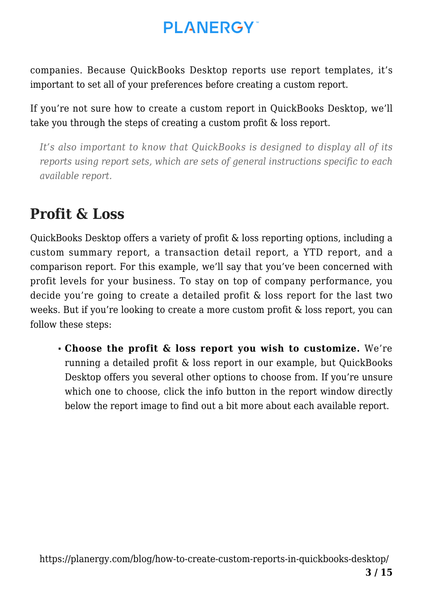companies. Because QuickBooks Desktop reports use report templates, it's important to set all of your preferences before creating a custom report.

If you're not sure how to create a custom report in QuickBooks Desktop, we'll take you through the steps of creating a custom profit & loss report.

*It's also important to know that QuickBooks is designed to display all of its reports using report sets, which are sets of general instructions specific to each available report.*

#### **Profit & Loss**

QuickBooks Desktop offers a variety of profit & loss reporting options, including a custom summary report, a transaction detail report, a YTD report, and a comparison report. For this example, we'll say that you've been concerned with profit levels for your business. To stay on top of company performance, you decide you're going to create a detailed profit & loss report for the last two weeks. But if you're looking to create a more custom profit & loss report, you can follow these steps:

**Choose the profit & loss report you wish to customize.** We're running a detailed profit & loss report in our example, but QuickBooks Desktop offers you several other options to choose from. If you're unsure which one to choose, click the info button in the report window directly below the report image to find out a bit more about each available report.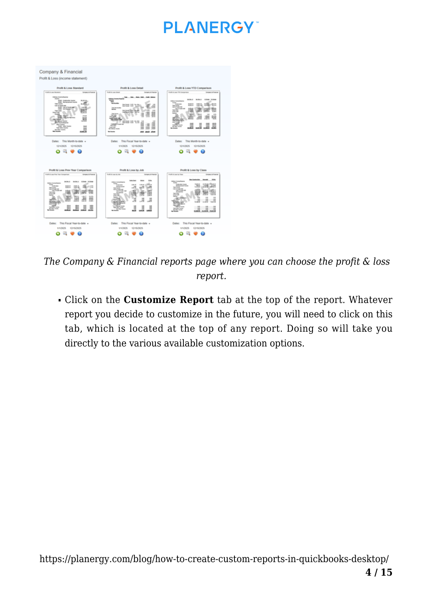

 *The Company & Financial reports page where you can choose the profit & loss report.*

Click on the **Customize Report** tab at the top of the report. Whatever report you decide to customize in the future, you will need to click on this tab, which is located at the top of any report. Doing so will take you directly to the various available customization options.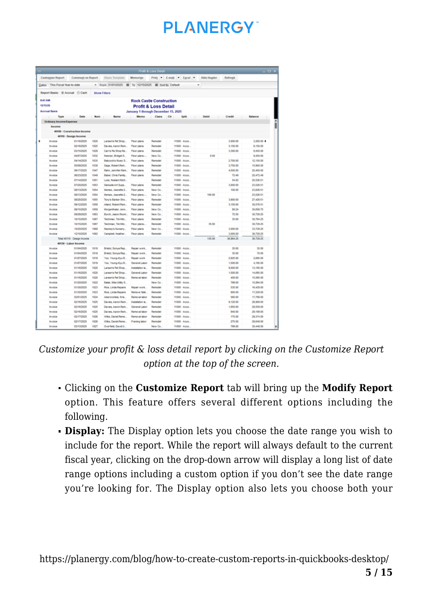# **PI ANFRGY**

|                                      |                             |              |                                          |                                          | <b>Profit &amp; Loss Detail</b> |                          |               |                    |                    | $  \infty$             |
|--------------------------------------|-----------------------------|--------------|------------------------------------------|------------------------------------------|---------------------------------|--------------------------|---------------|--------------------|--------------------|------------------------|
| <b>Customize Report</b>              | Comment on Report           |              | Share Template                           | Memorize                                 |                                 | Print F E-mail F Excel F |               | <b>Hide Header</b> | Refresh            |                        |
| Dates This Fiscal Year-to-date       |                             |              | * From 01/01/2025<br>目                   | To 12/15/2025 <b>III</b> Sort By Default |                                 |                          |               | ٠                  |                    |                        |
| Report Basis: (ii) Accrual (ii) Cash |                             |              | <b>Show Filters</b>                      |                                          |                                 |                          |               |                    |                    |                        |
| <b>BA3 AM</b>                        |                             |              |                                          | <b>Rock Castle Construction</b>          |                                 |                          |               |                    |                    |                        |
| 13/15/25                             |                             |              |                                          | <b>Profit &amp; Loss Detail</b>          |                                 |                          |               |                    |                    |                        |
| <b>Accrual Basis</b>                 |                             |              |                                          | January 1 through December 15, 2025      |                                 |                          |               |                    |                    |                        |
| Type                                 | Date                        | <b>Num</b>   | Name                                     | Merrio                                   | Class Cir                       |                          | Spitt         | <b>Debit</b>       | Credit             | <b>Balance</b>         |
| <b>Ordinary Income Expense</b>       |                             |              |                                          |                                          |                                 |                          |               |                    |                    |                        |
| Income                               |                             |              |                                          |                                          |                                 |                          |               |                    |                    |                        |
|                                      | 40100 - Construction Income |              |                                          |                                          |                                 |                          |               |                    |                    |                        |
|                                      | 40110 - Design Income       |              |                                          |                                          |                                 |                          |               |                    |                    |                        |
| <b>Invoice</b>                       | 01/16/2025                  | 1020         | Larsen's Pet Shop                        | Floor plans                              | Remodel                         |                          | 11000 - Acco  |                    | 3,000.00           | 3,000.00 4             |
| <b>Invoice</b>                       | 02/16/2025                  | 1025         | Davies, Aaron Rem.                       | <b>Floor plans</b>                       | <b>Remodel</b>                  |                          | 11000 - Adds  |                    | 3,150.00           | 6,150.00               |
| <b>Invoice</b>                       | 83/15/2025                  | 1029         | Carr's Ple Shop Re                       | Floor plans                              | Remodel                         |                          | 11000 Acco    |                    | 3,300.00           | 9.450.00               |
| Invoice                              | 04/07/2025                  | 1032         | Keenan, Bridget S.,                      | Floor plans -                            | New Co.                         | 11000 - Acco             |               | 0.00               |                    | 9.450.00               |
| Invoice                              | 64/14/2025                  | 1035         | Babcock's Music S                        | Floor plans                              | Remodel                         | 11000 - Acco.            |               |                    | 2.700.00           | 12.150.00              |
| Invoice                              | 05/08/2025                  | 1008         | Sage, Robert Rem.                        | Floor plans                              | Remodel                         | 11000 - Acco.            |               |                    | 5,750.00           | 15.900.00              |
| Invoice                              | 06/17/2025                  | 1047         | Rahn, Jennifer Rem.                      | Floor plans                              | Remodel                         |                          | 11000 - Acco. |                    | 4.500.00           | 20,400.00              |
| <b>Invoice</b>                       | 06/23/2025                  | 1049         | Baker, Chris Family                      | Floor plans                              | Remodel                         |                          | 11000 - Acco  |                    | 72.49              | 20,472.49              |
| Invoice                              | 67/14/2025                  | 1051         | Luke, Noelani Kitch.                     |                                          | Remodel                         |                          | 11000 - Acco  |                    | 54.02              | 20.526.51              |
| Invoice                              | 67/20/2025                  | 1053         | Samuels Art Supp                         | Floor plans                              | Demodel                         |                          | 11000 - Anne  |                    | 3,000.00           | 23.526.51              |
| Invoice                              | 08/13/2025                  | 1054         | Memeo, Jeanette 2                        | Floor plans                              | New Co.                         |                          | 11000 - Acco  |                    | 100.00             | 23.626.51              |
| Invoice                              | 06/13/2025                  | 1054         | Memeo, Jeanette 2                        | Floor plans -                            | New Co.                         | 11000 - Anna             |               | 100.00             |                    | 23.526.51              |
| Invoice                              | 06/20/2025                  | 1055         | Tony's Barber Sho.                       | Floor plans                              | Remodel                         |                          | 11000 - Acco  |                    | 3,900.00           | 27.426.51              |
| <b><i><u>IFurDeCe</u></i></b>        | <b>DS/12/2025</b>           | 1058         | Alard, Robert Rem.                       | Floor plans                              | Remodel                         | 11000 - Anna             |               |                    | 3,150.00           | 30,576.51              |
| <b>Invoice</b>                       | 09/15/2025                  | 1059         | Morgenthaler, Jenn                       | <b>Floor plans</b>                       | New Co.                         |                          | 11000 - Acco  |                    | 80.24              | 30,656.75              |
| <b>Invoice</b>                       | 09/29/2025                  | 1063         | Burch, Jason Room                        | Floor plans                              | New Co.                         | 11000 - Adds.            |               |                    | 72.50              | 30,729.25              |
| Invoice                              | 10/15/2025                  | 1067         | Teichman, Tim/Kitc.                      | Floor plans                              | Remodel                         | 11000 - Acco.            |               |                    | 35.00              | 30.764.25              |
| Involve                              | 10150925                    | 1067         | Teichman, Tim/Kilc.                      | Floor plans-                             | Remodel                         | 11000 - Anne             |               | 35.00              |                    | 30.729.25              |
| Invoice                              | 10/20/2025                  | 1068         | Mackey's Nursery                         | Floor plans                              | New Co.                         | 11000 - Acco             |               |                    | 3,000.00           | 33.729.25              |
| Invoice                              | 12/10/2025                  | 1092         | Campbell, Heather.                       | Floor plans                              | Remodel                         | 11000 - Acco.            |               |                    | 3.000.00           | 36,729.25              |
|                                      | Total 40110 - Design Income |              |                                          |                                          |                                 |                          |               | 135.00             | 36,064.25          | 36,729.25              |
|                                      | 40130 - Labor Income        |              |                                          |                                          |                                 |                          |               |                    |                    |                        |
| <b>Invoice</b>                       | 01/04/2025                  | 1018         | Bristol, Sonya Rep.                      | Repair work.                             | Remodel                         |                          | 11000 Acco    |                    | 35.00              | 35.00                  |
| Invoice                              | 01/04/2025                  | 1018         | Bristol, Sonya Rep.                      | <b>Decair</b> work                       | Damodal                         |                          | 11000 - Anne  |                    | 35.00              | 70.00                  |
| Invoice                              | 01/07/2025                  | 1019         | Yoo. Young-Kyu'R.                        | Repair work                              | Remodel                         | 11000 - Acco.            |               |                    | 2,625.00           | 2,695.00               |
| Invoice                              | 01/07/2025                  | 1019         | Yoo, Young-Kyu:R                         | General Labor                            | Remodel                         |                          | 11000 - Acco  |                    | 1,500.00           | 4.195.00               |
| Invoice                              | 01/16/2025                  | 1020         | Larsen's Pet Shop.                       | Installation Ia.                         | Remodel                         | 11000 - Acco             |               |                    | 9,000.00           | 13,195.00              |
| <b>Invoice</b>                       | et/16/2025                  | 1020         | Larsen's Pet Shop.                       | General Labor                            | Remodel                         | 11000 - Acco             |               |                    | 1,500.00           | 14.695.00              |
| <b>Invoice</b>                       | 01/16/2025                  | 1020         | Larsen's Pet Shop.                       | Removal labor                            | Remodel                         | 11000 - Acco.            |               |                    | 400.00             | 15,095.00              |
| <b>Involving</b>                     | 01/20/2025                  | 1022         | Balak, Mike Utility S                    |                                          | New Co.                         |                          | 11000 - Acco  |                    | 799.00             | 15,894.00              |
| Invoice                              | 01/30/2025                  | 1023         | Rice, Linda Repairs                      | Repair work.                             | Remodel                         | 11000 - Acco.            |               |                    | 535.00             | 16.429.00              |
| <b>Invoice</b>                       | 01/30/2025                  | 1023         | Rice, Linda Repairs                      | Remove fale.                             | Remodel                         |                          | 11000 - Acco  |                    | 800.00<br>588.88   | 17,229.00              |
| Invoice                              | 02/01/2025                  | 1024         | Abercrombie, Kris.                       | Removal labor                            | Remodel                         | 11000 - Acco.            |               |                    |                    | 17,789.00              |
| Invoice                              | 82/16/2025                  | 1025         | Davies, Aaron:Rem.                       | Installation Ia.                         | Remodel                         |                          | 11000 - Acco  |                    | 9,120.00           | 26,909.00              |
| <b>Invoice</b><br><b>Invoice</b>     | 82/16/2025<br>82/16/2025    | 1025<br>1025 | Davies, Aaron Rem.<br>Davies, Aaron Rem. | General Labor<br>Removal labor           | Remodel<br>Remodel              | 11000 - Acco.            | 11000 - Acco  |                    | 1,650.00<br>640.00 | 28,559.00<br>29,199.00 |
|                                      | 02/17/2025                  | 1026         | Wiks, Daniel Remo.                       |                                          | Remodel                         | 11000 - Acco.            |               |                    | 175.00             | 29.374.00              |
| Invoice<br>Invoice                   | 82/17/2025                  | 1026         | Wiks, Daniel Remo                        | Removal labor<br>Framing lebor           | Remodel                         |                          | 11000 - Acco  |                    | 275.00             | 29.649.00              |
| Invoice                              | 85/13/2025                  | 1027         | Overfield, David U.                      |                                          | New Co.                         | 11000 - Acco.            |               |                    | 799.00             | 30.448.00              |

*Customize your profit & loss detail report by clicking on the Customize Report option at the top of the screen.*

- Clicking on the **Customize Report** tab will bring up the **Modify Report** option. This feature offers several different options including the following.
- **Display:** The Display option lets you choose the date range you wish to include for the report. While the report will always default to the current fiscal year, clicking on the drop-down arrow will display a long list of date range options including a custom option if you don't see the date range you're looking for. The Display option also lets you choose both your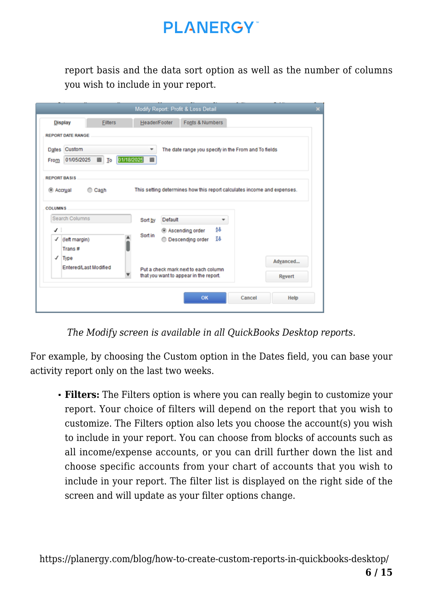report basis and the data sort option as well as the number of columns you wish to include in your report.

|                | <b>Filters</b><br><b>Display</b> | Header/Footer   | Fonts & Numbers                                                                |          |
|----------------|----------------------------------|-----------------|--------------------------------------------------------------------------------|----------|
|                | <b>REPORT DATE RANGE</b>         |                 |                                                                                |          |
|                | Dates Custom                     | ۰               | The date range you specify in the From and To fields                           |          |
| From           | 01/05/2025<br>$\blacksquare$ To  | 01/18/2025<br>圖 |                                                                                |          |
|                | <b>REPORT BASIS</b>              |                 |                                                                                |          |
|                | C Cash<br>C Accrual              |                 | This setting determines how this report calculates income and expenses.        |          |
|                |                                  |                 |                                                                                |          |
|                |                                  |                 |                                                                                |          |
| <b>COLUMNS</b> |                                  |                 |                                                                                |          |
|                | Search Columns                   | Sort by         | Default                                                                        |          |
| マミ             |                                  |                 | ĝ8<br><sup>®</sup> Ascending order                                             |          |
| ✓              | (left margin)                    | Sort in         | Ŧ8<br>© Descending order                                                       |          |
| ✓              | Trans#<br>Type                   |                 |                                                                                |          |
|                | Entered/Last Modified            |                 |                                                                                | Advanced |
|                |                                  |                 | Put a check mark next to each column<br>that you want to appear in the report. | Revert   |

*The Modify screen is available in all QuickBooks Desktop reports.*

For example, by choosing the Custom option in the Dates field, you can base your activity report only on the last two weeks.

**Filters:** The Filters option is where you can really begin to customize your report. Your choice of filters will depend on the report that you wish to customize. The Filters option also lets you choose the account(s) you wish to include in your report. You can choose from blocks of accounts such as all income/expense accounts, or you can drill further down the list and choose specific accounts from your chart of accounts that you wish to include in your report. The filter list is displayed on the right side of the screen and will update as your filter options change.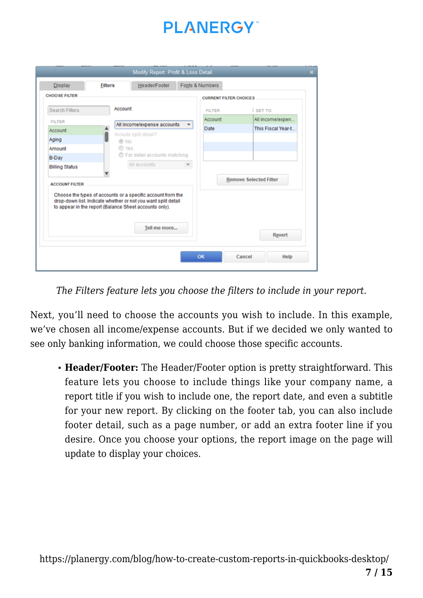

| <b>Display</b>        | <b>Filters</b>                                         | Header/Footer                                                                                                                |   | Fonts & Numbers               |                               |
|-----------------------|--------------------------------------------------------|------------------------------------------------------------------------------------------------------------------------------|---|-------------------------------|-------------------------------|
| <b>CHOOSE FILTER</b>  |                                                        |                                                                                                                              |   | <b>CURRENT FILTER CHOICES</b> |                               |
| <b>Search Filters</b> | Account                                                |                                                                                                                              |   | <b>FILTER</b>                 | <b>SET TO</b>                 |
| <b>FILTER</b>         |                                                        |                                                                                                                              |   | Account                       | All income/expen              |
| Account               |                                                        | All income/expense accounts                                                                                                  | ٠ | Date                          | This Fiscal Year-t            |
| Aging                 | @ No                                                   | Include split detail?                                                                                                        |   |                               |                               |
| Amount                | C Yes                                                  |                                                                                                                              |   |                               |                               |
| <b>B-Day</b>          |                                                        | For detail accounts matching                                                                                                 |   |                               |                               |
| <b>Billing Status</b> |                                                        | All accounts                                                                                                                 |   |                               |                               |
| <b>ACCOUNT FILTER</b> | to appear in the report (Balance Sheet accounts only). | Choose the types of accounts or a specific account from the<br>drop-down list. Indicate whether or not you want split detail |   |                               | <b>Remove Selected Filter</b> |
|                       |                                                        | Tell me more                                                                                                                 |   |                               | Revert                        |

*The Filters feature lets you choose the filters to include in your report.*

Next, you'll need to choose the accounts you wish to include. In this example, we've chosen all income/expense accounts. But if we decided we only wanted to see only banking information, we could choose those specific accounts.

**Header/Footer:** The Header/Footer option is pretty straightforward. This feature lets you choose to include things like your company name, a report title if you wish to include one, the report date, and even a subtitle for your new report. By clicking on the footer tab, you can also include footer detail, such as a page number, or add an extra footer line if you desire. Once you choose your options, the report image on the page will update to display your choices.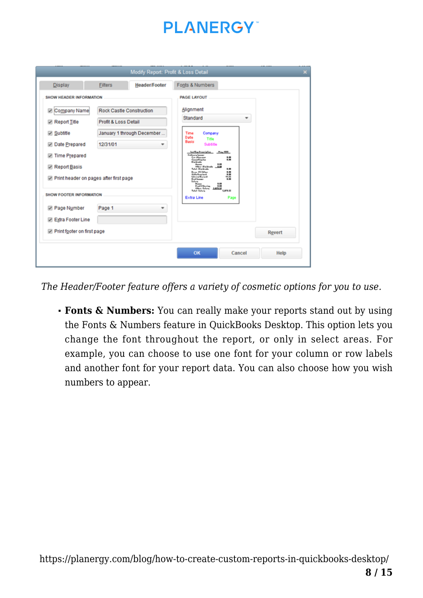| <b>Display</b>                                                                                                                             | <b>Filters</b>                   | Header/Footer                                          | Fonts & Numbers                                                                                                                                                                                                                                                                                                                                                                                                 |  |
|--------------------------------------------------------------------------------------------------------------------------------------------|----------------------------------|--------------------------------------------------------|-----------------------------------------------------------------------------------------------------------------------------------------------------------------------------------------------------------------------------------------------------------------------------------------------------------------------------------------------------------------------------------------------------------------|--|
| <b>SHOW HEADER INFORMATION</b><br>Company Name<br>Report Title<br>Subtitle<br>Date Prepared<br>Time Prepared<br>Report Basis               | Profit & Loss Detail<br>12/31/01 | Rock Castle Construction<br>January 1 through December | <b>PAGE LAYOUT</b><br>Alignment<br>Standard<br>٠<br>Time<br>Company<br>Date<br>Title<br>Basis<br>Subtitle<br><b>Plus, 1989</b><br><b>haffag Francistin</b><br><b>Brillians Issuer</b><br>1.88<br><b>Car allowance</b><br>Connections from<br><br><b>Distances</b><br><br><b>Basse</b><br>Office - Disidesda<br>1.11<br>1.88<br>Talul - Dialdrafe<br><b>Brust-RCSHar</b><br>1.89<br><b>Citiz Readant</b><br>5.89 |  |
| Print header on pages after first page<br><b>SHOW FOOTER INFORMATION</b><br>Page Number<br>Extra Footer Line<br>Print footer on first page | Page 1                           | ÷                                                      | Internal Europe<br>91.55<br><b>Real Source</b><br>1.88<br><b>Library</b><br>$8 - 11$<br>5.88<br><b>FoxFifthering</b><br>1.11<br><b>Office: Salary</b><br>5.879.92<br>1,679.52<br>Telef-Selers<br>Extra Line<br>Page<br>Revert                                                                                                                                                                                   |  |
|                                                                                                                                            |                                  |                                                        | OK<br>Cancel<br>Help                                                                                                                                                                                                                                                                                                                                                                                            |  |

*The Header/Footer feature offers a variety of cosmetic options for you to use.*

**Fonts & Numbers:** You can really make your reports stand out by using the Fonts & Numbers feature in QuickBooks Desktop. This option lets you change the font throughout the report, or only in select areas. For example, you can choose to use one font for your column or row labels and another font for your report data. You can also choose how you wish numbers to appear.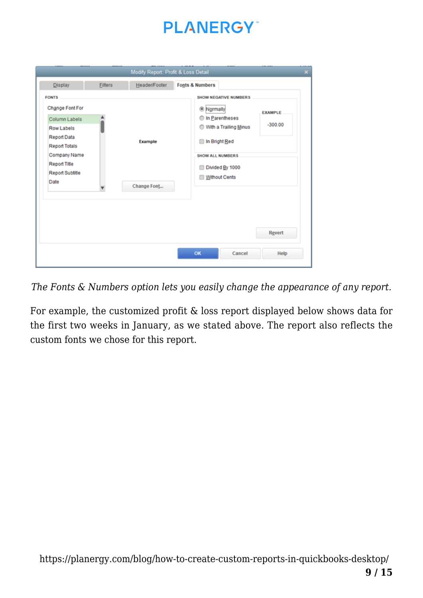| <b>Display</b>                                                                                                                                                                | <b>Filters</b> | Header/Footer | <b>Fonts &amp; Numbers</b>                                                                                                                                                                       |  |        |  |
|-------------------------------------------------------------------------------------------------------------------------------------------------------------------------------|----------------|---------------|--------------------------------------------------------------------------------------------------------------------------------------------------------------------------------------------------|--|--------|--|
| <b>FONTS</b><br>Change Font For<br>Column Labels<br><b>Row Labels</b><br><b>Report Data</b><br><b>Report Totals</b><br>Company Name<br>Report Title<br><b>Report Subtitle</b> | Example        |               | <b>SHOW NEGATIVE NUMBERS</b><br><sup>®</sup> Normally<br><b>EXAMPLE</b><br>◯ In Parentheses<br>$-300.00$<br>With a Trailing Minus<br>In Bright Red<br><b>SHOW ALL NUMBERS</b><br>Divided By 1000 |  |        |  |
| Date                                                                                                                                                                          |                | Change Font   | Without Cents                                                                                                                                                                                    |  | Revert |  |

*The Fonts & Numbers option lets you easily change the appearance of any report.*

For example, the customized profit & loss report displayed below shows data for the first two weeks in January, as we stated above. The report also reflects the custom fonts we chose for this report.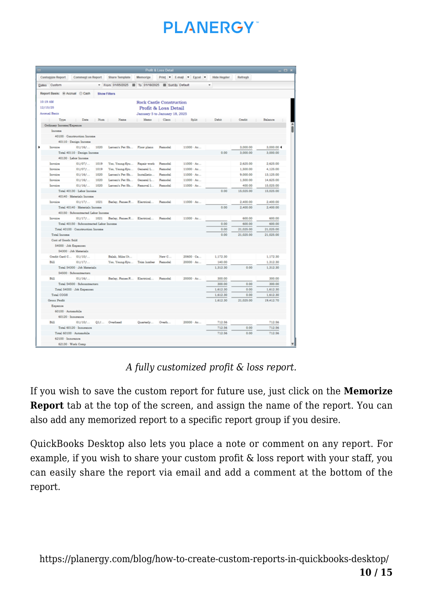# **PI ANFRGY**

|                                |                                                     |                                                     |                               | Profit & Loss Detail |                                |                  |              | $  \times$       |
|--------------------------------|-----------------------------------------------------|-----------------------------------------------------|-------------------------------|----------------------|--------------------------------|------------------|--------------|------------------|
| <b>Customize Report</b>        |                                                     | Comment on Report Share Template                    | Memorize                      |                      | Print E-mail Excel Hide Header |                  | Refresh      |                  |
| Dates Custom                   |                                                     | - From 01/05/2025   To 01/18/2025   Sort By Default |                               |                      |                                | $\blacksquare$   |              |                  |
| Report Basis: @ Accrual @ Cash |                                                     | <b>Show Filters</b>                                 |                               |                      |                                |                  |              |                  |
| 10:19 AM                       |                                                     |                                                     | Rock Castle Construction      |                      |                                |                  |              |                  |
| 12/15/25                       |                                                     |                                                     |                               | Profit & Loss Detail |                                |                  |              |                  |
| Accessal Basis                 |                                                     |                                                     | January 5 to January 18, 2025 |                      |                                |                  |              |                  |
| Type<br>$\sim$                 | Date                                                | Num Name                                            | Mamo                          |                      | Class : Split : Debit : Credit |                  | ___          | Balance          |
| Ordinary Income/Expense        |                                                     |                                                     |                               |                      |                                |                  |              |                  |
| Income                         |                                                     |                                                     |                               |                      |                                |                  |              |                  |
|                                | 40100 - Construction Income                         |                                                     |                               |                      |                                |                  |              |                  |
|                                | 40110 - Denign Income                               |                                                     |                               |                      |                                |                  |              |                  |
| Investore                      | 01/16/<br>1020                                      | Laroen's Pet Sh Floor plans                         |                               | Famodal.             | $11000 - A_0$                  |                  | 3,000.00     | 3,000.00 4       |
|                                | Total 40110 - Design Income                         |                                                     |                               |                      |                                | 0.00             | 3,000.00     | 3,000.00         |
| 40130 - Labor Income           |                                                     |                                                     |                               |                      |                                |                  |              |                  |
| Immuloe                        | 01/07/<br>1019                                      | Yoo, Young-Kyu                                      | Repair work                   | Famodal.             | $11000 - Ae$                   |                  | 2.625.00     | 2.625.00         |
| Invoice                        | 01/07f<br>1019                                      | Yoo, Young-Kyu                                      | General L.                    | Famodal.             | $11000 - Ao$                   |                  | 1,500.00     | 4,125.00         |
| Investore                      | 01/16/<br>1030                                      | Laross's Pat Sh                                     | Installatio                   | <b>Famodal</b>       | $11000 - Ae$                   |                  | 9,000.00     | 13,125.00        |
| Invoice                        | 01/16/<br>1030                                      | Larsen's Pet Sh                                     | General L.                    | <b>Remodel</b>       | $11000 - Ae$                   |                  | 1,500.00     | 14,625.00        |
| Invoice                        | 01/16/<br>1020                                      | Laroen's Pet Sh                                     | Ramoval 1                     | Famodal              | $11000 \cdot A_0$              |                  | 400.00       | 15.025.00        |
|                                | Total 40130 - Labor Income                          |                                                     |                               |                      |                                | 0.00             | 15,025.00    | 15.025.00        |
|                                | 40140 - Materials Income                            |                                                     |                               |                      |                                |                  |              |                  |
| Immuloe                        | $01/17/$ 1021                                       | Barler, Renee R., Electrical                        |                               | Famodal.             | $11000 - Ae$                   |                  | 2,400.00     | 2,400.00         |
|                                | Total 40140 - Materials Income                      |                                                     |                               |                      |                                | 0.00             | 2,400.00     | 2,400.00         |
|                                | 40150 - Subcontracted Labor Income                  |                                                     |                               |                      |                                |                  |              |                  |
| Investore                      | $01/17/$ 1031                                       | Barley, Renee R., Electrical                        |                               | <b>Famodal</b>       | $11000 - Ae$                   |                  | 600.00       | 600.00           |
|                                | Total 40150 - Subcontracted Labor Income            |                                                     |                               |                      |                                | 0.00             | 600.00       | 600.00           |
|                                | Total 40100 - Construction Income                   |                                                     |                               |                      |                                | 0.00             | 21.025.00    | 21.025.00        |
| Total Income                   |                                                     |                                                     |                               |                      |                                | 0.00             | 21,025.00    | 21,025.00        |
| Cost of Goods Sold             |                                                     |                                                     |                               |                      |                                |                  |              |                  |
| 54000 - Job Expenses           |                                                     |                                                     |                               |                      |                                |                  |              |                  |
|                                | 54300 - Job Materials                               |                                                     |                               |                      |                                |                  |              |                  |
| Credit Card C 01/10/           |                                                     | Balair, Milos Ut                                    |                               | New C                | $20600 - Ca$                   | 1,172.30         |              | 1,172.30         |
| Bill                           | 01/17/                                              | Yoo, Young-Kyu Trim lumber                          |                               | <b>Famodal</b>       | 20000 - Ae                     | 140.00           |              | 1,312.30         |
|                                | Total 54300 - Job Materials                         |                                                     |                               |                      |                                | 1,312.30         | 0.00         | 1,312.30         |
|                                | 54500 - Subcontractors                              |                                                     |                               |                      |                                |                  |              |                  |
| Bill                           | 01/16/                                              | Barley, Renee R., Electrical                        |                               | <b>Famodal</b>       | $20000 - Ae$                   | 300.00           |              | 300.00           |
|                                | Total 54500 - Subcontractors                        |                                                     |                               |                      |                                | 300.00           | 0.00         | 300.00           |
| Total COGS                     | Total 54000 - Job Expenses                          |                                                     |                               |                      |                                | 1,612.30         | 0.00<br>0.00 | 1,612.30         |
|                                |                                                     |                                                     |                               |                      |                                | 1,612.30         | 21,025.00    | 1,612.30         |
| <b>Gross Profit</b><br>Expense |                                                     |                                                     |                               |                      |                                | 1,612.30         |              | 19,412.70        |
| 60100 - Automobile             |                                                     |                                                     |                               |                      |                                |                  |              |                  |
| 60120 - Insurance              |                                                     |                                                     |                               |                      |                                |                  |              |                  |
| Bill                           | 01/10/                                              | Q1/ Overhead                                        |                               | Overh                | $20000 - Ae$                   | 712.56           |              | 712.56           |
|                                |                                                     |                                                     | Quarterly                     |                      |                                |                  |              |                  |
|                                | Total 60120 - Insurance<br>Total 60100 - Automobile |                                                     |                               |                      |                                | 712.56<br>712.56 | 0.00<br>0.00 | 712.56<br>712.56 |
| 62100 - Insurance              |                                                     |                                                     |                               |                      |                                |                  |              |                  |
|                                | 62130 - Work Comp                                   |                                                     |                               |                      |                                |                  |              |                  |

*A fully customized profit & loss report.*

If you wish to save the custom report for future use, just click on the **Memorize Report** tab at the top of the screen, and assign the name of the report. You can also add any memorized report to a specific report group if you desire.

QuickBooks Desktop also lets you place a note or comment on any report. For example, if you wish to share your custom profit & loss report with your staff, you can easily share the report via email and add a comment at the bottom of the report.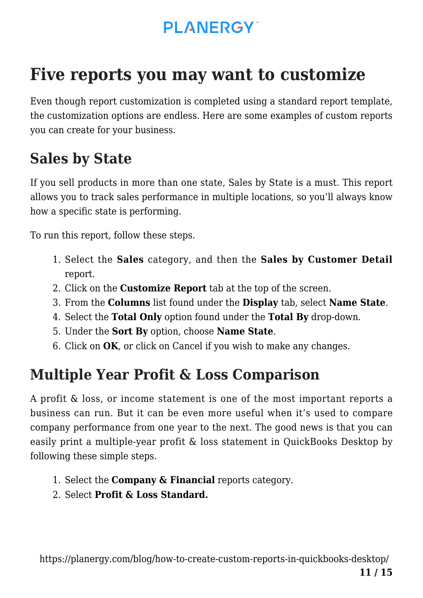# **Five reports you may want to customize**

Even though report customization is completed using a standard report template, the customization options are endless. Here are some examples of custom reports you can create for your business.

#### **Sales by State**

If you sell products in more than one state, Sales by State is a must. This report allows you to track sales performance in multiple locations, so you'll always know how a specific state is performing.

To run this report, follow these steps.

- 1. Select the **Sales** category, and then the **Sales by Customer Detail** report.
- 2. Click on the **Customize Report** tab at the top of the screen.
- 3. From the **Columns** list found under the **Display** tab, select **Name State**.
- 4. Select the **Total Only** option found under the **Total By** drop-down.
- 5. Under the **Sort By** option, choose **Name State**.
- 6. Click on **OK**, or click on Cancel if you wish to make any changes.

#### **Multiple Year Profit & Loss Comparison**

A profit & loss, or income statement is one of the most important reports a business can run. But it can be even more useful when it's used to compare company performance from one year to the next. The good news is that you can easily print a multiple-year profit & loss statement in QuickBooks Desktop by following these simple steps.

- 1. Select the **Company & Financial** reports category.
- 2. Select **Profit & Loss Standard.**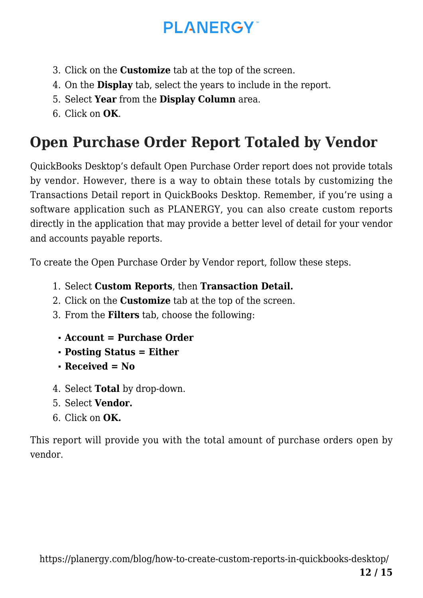- 3. Click on the **Customize** tab at the top of the screen.
- 4. On the **Display** tab, select the years to include in the report.
- 5. Select **Year** from the **Display Column** area.
- 6. Click on **OK**.

# **Open Purchase Order Report Totaled by Vendor**

QuickBooks Desktop's default Open Purchase Order report does not provide totals by vendor. However, there is a way to obtain these totals by customizing the Transactions Detail report in QuickBooks Desktop. Remember, if you're using a software application such as PLANERGY, you can also create custom reports directly in the application that may provide a better level of detail for your vendor and accounts payable reports.

To create the Open Purchase Order by Vendor report, follow these steps.

- 1. Select **Custom Reports**, then **Transaction Detail.**
- 2. Click on the **Customize** tab at the top of the screen.
- 3. From the **Filters** tab, choose the following:
	- **Account = Purchase Order**
	- **Posting Status = Either**
	- **Received = No**
- 4. Select **Total** by drop-down.
- 5. Select **Vendor.**
- 6. Click on **OK.**

This report will provide you with the total amount of purchase orders open by vendor.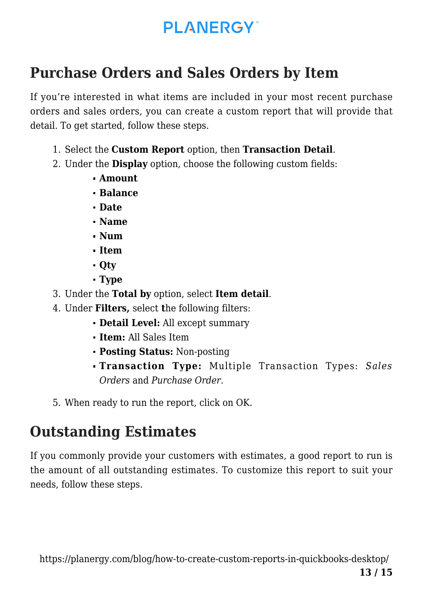#### **Purchase Orders and Sales Orders by Item**

If you're interested in what items are included in your most recent purchase orders and sales orders, you can create a custom report that will provide that detail. To get started, follow these steps.

- 1. Select the **Custom Report** option, then **Transaction Detail**.
- 2. Under the **Display** option, choose the following custom fields:
	- **Amount**
	- **Balance**
	- **Date**
	- **Name**
	- **Num**
	- **Item**
	- **Qty**
	- **Type**
- 3. Under the **Total by** option, select **Item detail**.
- 4. Under **Filters,** select **t**he following filters:
	- **Detail Level:** All except summary
	- **Item:** All Sales Item
	- **Posting Status:** Non-posting
	- **Transaction Type:** Multiple Transaction Types: *Sales Orders* and *Purchase Order*.
- 5. When ready to run the report, click on OK.

# **Outstanding Estimates**

If you commonly provide your customers with estimates, a good report to run is the amount of all outstanding estimates. To customize this report to suit your needs, follow these steps.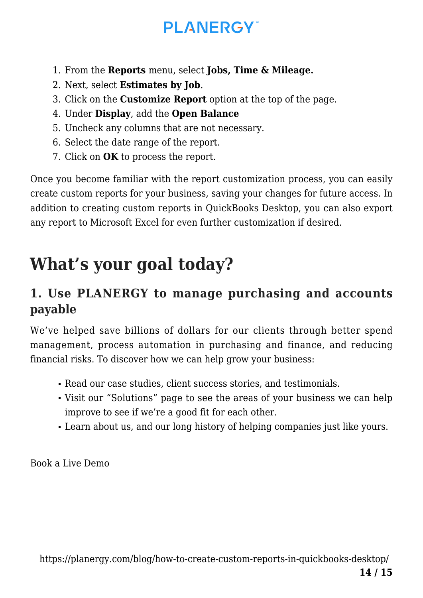- 1. From the **Reports** menu, select **Jobs, Time & Mileage.**
- 2. Next, select **Estimates by Job**.
- 3. Click on the **Customize Report** option at the top of the page.
- 4. Under **Display**, add the **Open Balance**
- 5. Uncheck any columns that are not necessary.
- 6. Select the date range of the report.
- 7. Click on **OK** to process the report.

Once you become familiar with the report customization process, you can easily create custom reports for your business, saving your changes for future access. In addition to creating custom reports in QuickBooks Desktop, you can also export any report to Microsoft Excel for even further customization if desired.

# **What's your goal today?**

#### **1. Use PLANERGY to manage purchasing and accounts payable**

We've helped save billions of dollars for our clients through better spend management, process automation in purchasing and finance, and reducing financial risks. To discover how we can help grow your business:

- Read our [case studies, client success stories, and testimonials.](https://planergy.com/customers/)
- Visit our ["Solutions"](https://planergy.com/?elementor_library=single-post&elementor-preview=412&ver=1637705482#) page to see the areas of your business we can help improve to see if we're a good fit for each other.
- Learn [about us, and our long history of helping companies just like yours.](https://planergy.com/about/)

[Book a Live Demo](https://planergy.com/schedule-a-demo/)